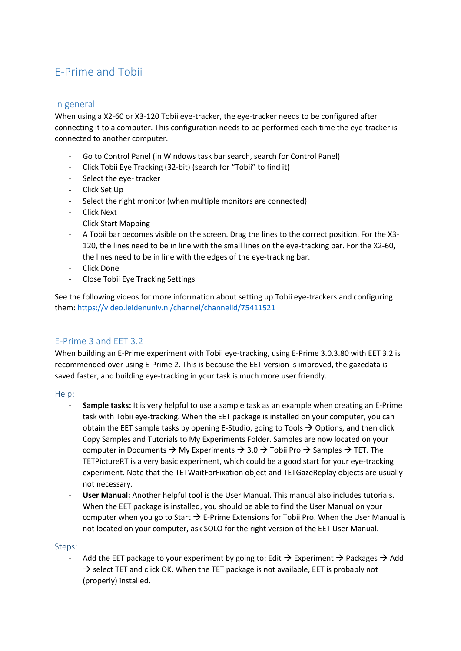# E-Prime and Tobii

## In general

When using a X2-60 or X3-120 Tobii eye-tracker, the eye-tracker needs to be configured after connecting it to a computer. This configuration needs to be performed each time the eye-tracker is connected to another computer.

- Go to Control Panel (in Windows task bar search, search for Control Panel)
- Click Tobii Eye Tracking (32-bit) (search for "Tobii" to find it)
- Select the eye- tracker
- Click Set Up
- Select the right monitor (when multiple monitors are connected)
- Click Next
- Click Start Mapping
- A Tobii bar becomes visible on the screen. Drag the lines to the correct position. For the X3- 120, the lines need to be in line with the small lines on the eye-tracking bar. For the X2-60, the lines need to be in line with the edges of the eye-tracking bar.
- Click Done
- Close Tobii Eye Tracking Settings

See the following videos for more information about setting up Tobii eye-trackers and configuring them:<https://video.leidenuniv.nl/channel/channelid/75411521>

## E-Prime 3 and EET 3.2

When building an E-Prime experiment with Tobii eye-tracking, using E-Prime 3.0.3.80 with EET 3.2 is recommended over using E-Prime 2. This is because the EET version is improved, the gazedata is saved faster, and building eye-tracking in your task is much more user friendly.

## Help:

- **Sample tasks:** It is very helpful to use a sample task as an example when creating an E-Prime task with Tobii eye-tracking. When the EET package is installed on your computer, you can obtain the EET sample tasks by opening E-Studio, going to Tools  $\rightarrow$  Options, and then click Copy Samples and Tutorials to My Experiments Folder. Samples are now located on your computer in Documents  $\rightarrow$  My Experiments  $\rightarrow$  3.0  $\rightarrow$  Tobii Pro  $\rightarrow$  Samples  $\rightarrow$  TET. The TETPictureRT is a very basic experiment, which could be a good start for your eye-tracking experiment. Note that the TETWaitForFixation object and TETGazeReplay objects are usually not necessary.
- **User Manual:** Another helpful tool is the User Manual. This manual also includes tutorials. When the EET package is installed, you should be able to find the User Manual on your computer when you go to Start  $\rightarrow$  E-Prime Extensions for Tobii Pro. When the User Manual is not located on your computer, ask SOLO for the right version of the EET User Manual.

#### Steps:

Add the EET package to your experiment by going to: Edit  $\rightarrow$  Experiment  $\rightarrow$  Packages  $\rightarrow$  Add  $\rightarrow$  select TET and click OK. When the TET package is not available, EET is probably not (properly) installed.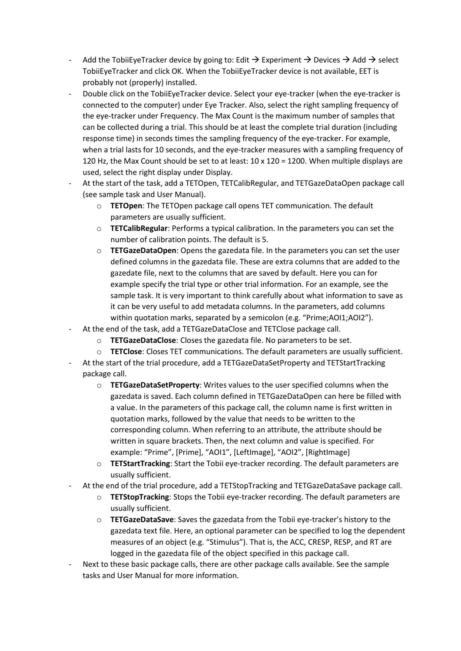- Add the TobiiEyeTracker device by going to: Edit  $\rightarrow$  Experiment  $\rightarrow$  Devices  $\rightarrow$  Add  $\rightarrow$  select TobiiEyeTracker and click OK. When the TobiiEyeTracker device is not available, EET is probably not (properly) installed.
- Double click on the TobiiEyeTracker device. Select your eye-tracker (when the eye-tracker is connected to the computer) under Eye Tracker. Also, select the right sampling frequency of the eye-tracker under Frequency. The Max Count is the maximum number of samples that can be collected during a trial. This should be at least the complete trial duration (including response time) in seconds times the sampling frequency of the eye-tracker. For example, when a trial lasts for 10 seconds, and the eye-tracker measures with a sampling frequency of 120 Hz, the Max Count should be set to at least: 10 x 120 = 1200. When multiple displays are used, select the right display under Display.
- At the start of the task, add a TETOpen, TETCalibRegular, and TETGazeDataOpen package call (see sample task and User Manual).
	- o **TETOpen**: The TETOpen package call opens TET communication. The default parameters are usually sufficient.
	- o **TETCalibRegular**: Performs a typical calibration. In the parameters you can set the number of calibration points. The default is 5.
	- o **TETGazeDataOpen**: Opens the gazedata file. In the parameters you can set the user defined columns in the gazedata file. These are extra columns that are added to the gazedate file, next to the columns that are saved by default. Here you can for example specify the trial type or other trial information. For an example, see the sample task. It is very important to think carefully about what information to save as it can be very useful to add metadata columns. In the parameters, add columns within quotation marks, separated by a semicolon (e.g. "Prime;AOI1;AOI2").
- At the end of the task, add a TETGazeDataClose and TETClose package call.
	- **TETGazeDataClose**: Closes the gazedata file. No parameters to be set.
	- o **TETClose**: Closes TET communications. The default parameters are usually sufficient.
- At the start of the trial procedure, add a TETGazeDataSetProperty and TETStartTracking package call.
	- o **TETGazeDataSetProperty**: Writes values to the user specified columns when the gazedata is saved. Each column defined in TETGazeDataOpen can here be filled with a value. In the parameters of this package call, the column name is first written in quotation marks, followed by the value that needs to be written to the corresponding column. When referring to an attribute, the attribute should be written in square brackets. Then, the next column and value is specified. For example: "Prime", [Prime], "AOI1", [LeftImage], "AOI2", [RightImage]
	- o **TETStartTracking**: Start the Tobii eye-tracker recording. The default parameters are usually sufficient.
	- At the end of the trial procedure, add a TETStopTracking and TETGazeDataSave package call.
		- o **TETStopTracking**: Stops the Tobii eye-tracker recording. The default parameters are usually sufficient.
		- o **TETGazeDataSave**: Saves the gazedata from the Tobii eye-tracker's history to the gazedata text file. Here, an optional parameter can be specified to log the dependent measures of an object (e.g. "Stimulus"). That is, the ACC, CRESP, RESP, and RT are logged in the gazedata file of the object specified in this package call.
- Next to these basic package calls, there are other package calls available. See the sample tasks and User Manual for more information.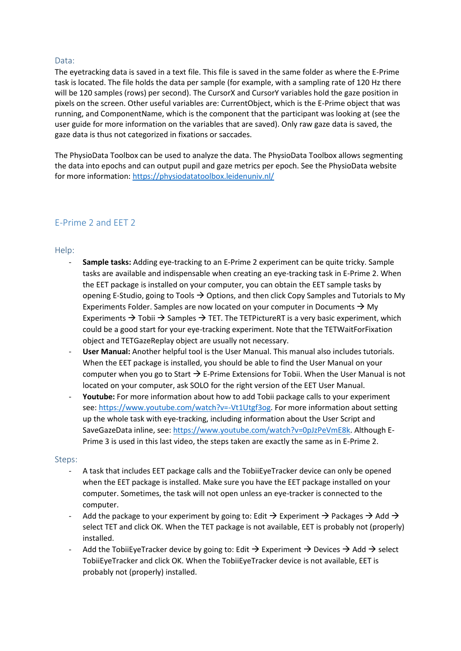## Data:

The eyetracking data is saved in a text file. This file is saved in the same folder as where the E-Prime task is located. The file holds the data per sample (for example, with a sampling rate of 120 Hz there will be 120 samples (rows) per second). The CursorX and CursorY variables hold the gaze position in pixels on the screen. Other useful variables are: CurrentObject, which is the E-Prime object that was running, and ComponentName, which is the component that the participant was looking at (see the user guide for more information on the variables that are saved). Only raw gaze data is saved, the gaze data is thus not categorized in fixations or saccades.

The PhysioData Toolbox can be used to analyze the data. The PhysioData Toolbox allows segmenting the data into epochs and can output pupil and gaze metrics per epoch. See the PhysioData website for more information:<https://physiodatatoolbox.leidenuniv.nl/>

# E-Prime 2 and EET 2

Help:

- **Sample tasks:** Adding eye-tracking to an E-Prime 2 experiment can be quite tricky. Sample tasks are available and indispensable when creating an eye-tracking task in E-Prime 2. When the EET package is installed on your computer, you can obtain the EET sample tasks by opening E-Studio, going to Tools  $\rightarrow$  Options, and then click Copy Samples and Tutorials to My Experiments Folder. Samples are now located on your computer in Documents  $\rightarrow$  My Experiments  $\rightarrow$  Tobii  $\rightarrow$  Samples  $\rightarrow$  TET. The TETPictureRT is a very basic experiment, which could be a good start for your eye-tracking experiment. Note that the TETWaitForFixation object and TETGazeReplay object are usually not necessary.
- **User Manual:** Another helpful tool is the User Manual. This manual also includes tutorials. When the EET package is installed, you should be able to find the User Manual on your computer when you go to Start  $\rightarrow$  E-Prime Extensions for Tobii. When the User Manual is not located on your computer, ask SOLO for the right version of the EET User Manual.
- Youtube: For more information about how to add Tobii package calls to your experiment see: [https://www.youtube.com/watch?v=-Vt1Utgf3og.](https://www.youtube.com/watch?v=-Vt1Utgf3og) For more information about setting up the whole task with eye-tracking, including information about the User Script and SaveGazeData inline, see[: https://www.youtube.com/watch?v=0pJzPeVmE8k.](https://www.youtube.com/watch?v=0pJzPeVmE8k) Although E-Prime 3 is used in this last video, the steps taken are exactly the same as in E-Prime 2.

#### Steps:

- A task that includes EET package calls and the TobiiEyeTracker device can only be opened when the EET package is installed. Make sure you have the EET package installed on your computer. Sometimes, the task will not open unless an eye-tracker is connected to the computer.
- Add the package to your experiment by going to: Edit  $\rightarrow$  Experiment  $\rightarrow$  Packages  $\rightarrow$  Add  $\rightarrow$ select TET and click OK. When the TET package is not available, EET is probably not (properly) installed.
- Add the TobiiEyeTracker device by going to: Edit  $\rightarrow$  Experiment  $\rightarrow$  Devices  $\rightarrow$  Add  $\rightarrow$  select TobiiEyeTracker and click OK. When the TobiiEyeTracker device is not available, EET is probably not (properly) installed.